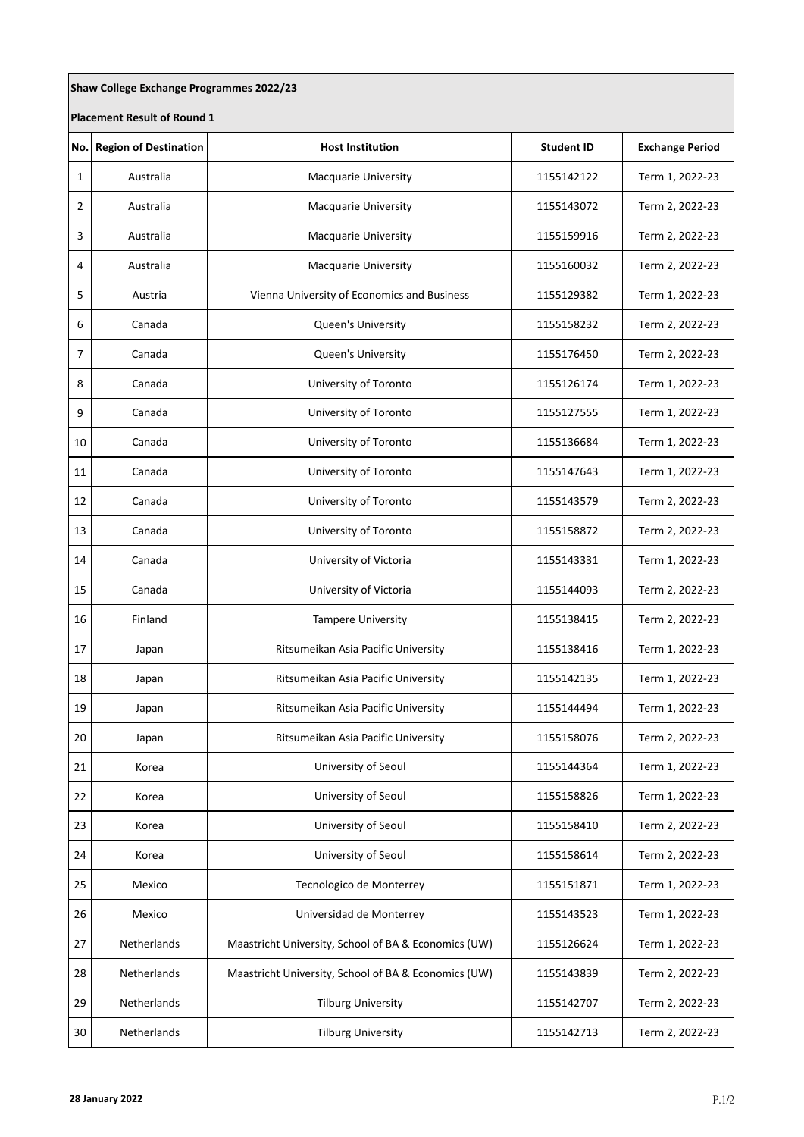| Shaw College Exchange Programmes 2022/23 |                              |                                                      |                   |                        |  |  |  |
|------------------------------------------|------------------------------|------------------------------------------------------|-------------------|------------------------|--|--|--|
| <b>Placement Result of Round 1</b>       |                              |                                                      |                   |                        |  |  |  |
| No.                                      | <b>Region of Destination</b> | <b>Host Institution</b>                              | <b>Student ID</b> | <b>Exchange Period</b> |  |  |  |
| 1                                        | Australia                    | <b>Macquarie University</b>                          | 1155142122        | Term 1, 2022-23        |  |  |  |
| 2                                        | Australia                    | Macquarie University                                 | 1155143072        | Term 2, 2022-23        |  |  |  |
| 3                                        | Australia                    | Macquarie University                                 | 1155159916        | Term 2, 2022-23        |  |  |  |
| 4                                        | Australia                    | Macquarie University                                 | 1155160032        | Term 2, 2022-23        |  |  |  |
| 5                                        | Austria                      | Vienna University of Economics and Business          | 1155129382        | Term 1, 2022-23        |  |  |  |
| 6                                        | Canada                       | Queen's University                                   | 1155158232        | Term 2, 2022-23        |  |  |  |
| $\overline{7}$                           | Canada                       | Queen's University                                   | 1155176450        | Term 2, 2022-23        |  |  |  |
| 8                                        | Canada                       | University of Toronto                                | 1155126174        | Term 1, 2022-23        |  |  |  |
| 9                                        | Canada                       | University of Toronto                                | 1155127555        | Term 1, 2022-23        |  |  |  |
| 10                                       | Canada                       | University of Toronto                                | 1155136684        | Term 1, 2022-23        |  |  |  |
| 11                                       | Canada                       | University of Toronto                                | 1155147643        | Term 1, 2022-23        |  |  |  |
| 12                                       | Canada                       | University of Toronto                                | 1155143579        | Term 2, 2022-23        |  |  |  |
| 13                                       | Canada                       | University of Toronto                                | 1155158872        | Term 2, 2022-23        |  |  |  |
| 14                                       | Canada                       | University of Victoria                               | 1155143331        | Term 1, 2022-23        |  |  |  |
| 15                                       | Canada                       | University of Victoria                               | 1155144093        | Term 2, 2022-23        |  |  |  |
| 16                                       | Finland                      | Tampere University                                   | 1155138415        | Term 2, 2022-23        |  |  |  |
| 17                                       | Japan                        | Ritsumeikan Asia Pacific University                  | 1155138416        | Term 1, 2022-23        |  |  |  |
| 18                                       | Japan                        | Ritsumeikan Asia Pacific University                  | 1155142135        | Term 1, 2022-23        |  |  |  |
| 19                                       | Japan                        | Ritsumeikan Asia Pacific University                  | 1155144494        | Term 1, 2022-23        |  |  |  |
| 20                                       | Japan                        | Ritsumeikan Asia Pacific University                  | 1155158076        | Term 2, 2022-23        |  |  |  |
| 21                                       | Korea                        | University of Seoul                                  | 1155144364        | Term 1, 2022-23        |  |  |  |
| 22                                       | Korea                        | University of Seoul                                  | 1155158826        | Term 1, 2022-23        |  |  |  |
| 23                                       | Korea                        | University of Seoul                                  | 1155158410        | Term 2, 2022-23        |  |  |  |
| 24                                       | Korea                        | University of Seoul                                  | 1155158614        | Term 2, 2022-23        |  |  |  |
| 25                                       | Mexico                       | Tecnologico de Monterrey                             | 1155151871        | Term 1, 2022-23        |  |  |  |
| 26                                       | Mexico                       | Universidad de Monterrey                             | 1155143523        | Term 1, 2022-23        |  |  |  |
| 27                                       | Netherlands                  | Maastricht University, School of BA & Economics (UW) | 1155126624        | Term 1, 2022-23        |  |  |  |
| 28                                       | Netherlands                  | Maastricht University, School of BA & Economics (UW) | 1155143839        | Term 2, 2022-23        |  |  |  |
| 29                                       | Netherlands                  | <b>Tilburg University</b>                            | 1155142707        | Term 2, 2022-23        |  |  |  |
| 30                                       | Netherlands                  | <b>Tilburg University</b>                            | 1155142713        | Term 2, 2022-23        |  |  |  |